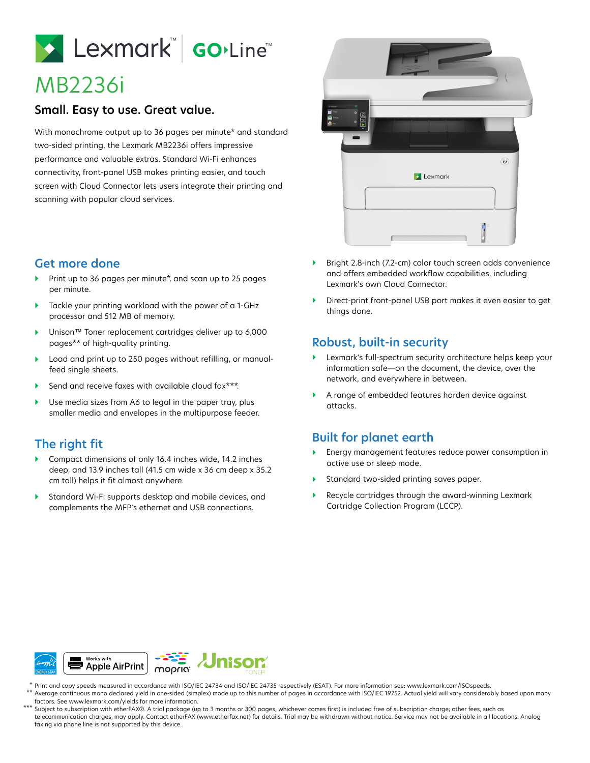# Lexmark Golline

# MB2236i

#### **Small. Easy to use. Great value.**

With monochrome output up to 36 pages per minute\* and standard two-sided printing, the Lexmark MB2236i offers impressive performance and valuable extras. Standard Wi-Fi enhances connectivity, front-panel USB makes printing easier, and touch screen with Cloud Connector lets users integrate their printing and scanning with popular cloud services.

## **Get more done**

- Print up to 36 pages per minute\*, and scan up to 25 pages per minute.
- Tackle your printing workload with the power of a 1-GHz processor and 512 MB of memory.
- Unison™ Toner replacement cartridges deliver up to 6,000 pages\*\* of high-quality printing.
- Load and print up to 250 pages without refilling, or manualfeed single sheets.
- Send and receive faxes with available cloud fax\*\*\*.
- ▶ Use media sizes from A6 to legal in the paper tray, plus smaller media and envelopes in the multipurpose feeder.

### **The right fit**

- Compact dimensions of only 16.4 inches wide, 14.2 inches deep, and 13.9 inches tall (41.5 cm wide x 36 cm deep x 35.2 cm tall) helps it fit almost anywhere.
- Standard Wi-Fi supports desktop and mobile devices, and complements the MFP's ethernet and USB connections.



- Bright 2.8-inch (7.2-cm) color touch screen adds convenience and offers embedded workflow capabilities, including Lexmark's own Cloud Connector.
- Direct-print front-panel USB port makes it even easier to get things done.

#### **Robust, built-in security**

- Lexmark's full-spectrum security architecture helps keep your information safe—on the document, the device, over the network, and everywhere in between.
- A range of embedded features harden device against attacks.

### **Built for planet earth**

- Energy management features reduce power consumption in active use or sleep mode.
- Standard two-sided printing saves paper.
- Recycle cartridges through the award-winning Lexmark Cartridge Collection Program (LCCP).



Print and copy speeds measured in accordance with ISO/IEC 24734 and ISO/IEC 24735 respectively (ESAT). For more information see: www.lexmark.com/ISOspeeds. Average continuous mono declared yield in one-sided (simplex) mode up to this number of pages in accordance with ISO/IEC 19752. Actual yield will vary considerably based upon many \* \*\*

- factors. See www.lexmark.com/yields for more information.
- Subject to subscription with etherFAX®. A trial package (up to 3 months or 300 pages, whichever comes first) is included free of subscription charge; other fees, such as telecommunication charges, may apply. Contact etherFAX (www.etherfax.net) for details. Trial may be withdrawn without notice. Service may not be available in all locations. Analog faxing via phone line is not supported by this device. \*\*\*